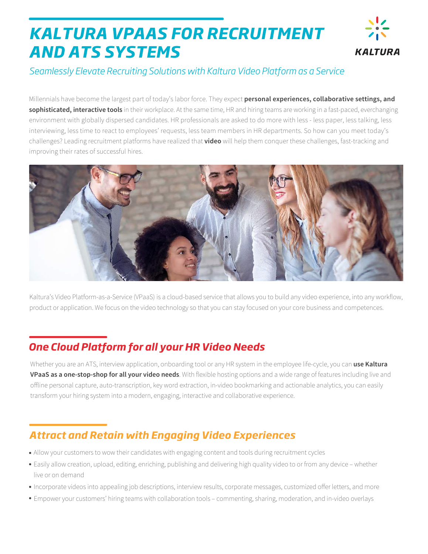# *KALTURA VPAAS FOR RECRUITMENT AND ATS SYSTEMS*



#### *Seamlessly Elevate Recruiting Solutions with Kaltura Video Platform as a Service*

Millennials have become the largest part of today's labor force. They expect **personal experiences, collaborative settings, and sophisticated, interactive tools** in their workplace. At the same time, HR and hiring teams are working in a fast-paced, everchanging environment with globally dispersed candidates. HR professionals are asked to do more with less - less paper, less talking, less interviewing, less time to react to employees' requests, less team members in HR departments. So how can you meet today's challenges? Leading recruitment platforms have realized that **video** will help them conquer these challenges, fast-tracking and improving their rates of successful hires.



Kaltura's Video Platform-as-a-Service (VPaaS) is a cloud-based service that allows you to build any video experience, into any workflow, product or application. We focus on the video technology so that you can stay focused on your core business and competences.

# *One Cloud Platform for all your HR Video Needs*

Whether you are an ATS, interview application, onboarding tool or any HR system in the employee life-cycle, you can **use Kaltura VPaaS as a one-stop-shop for all your video needs**. With flexible hosting options and a wide range of features including live and offline personal capture, auto-transcription, key word extraction, in-video bookmarking and actionable analytics, you can easily transform your hiring system into a modern, engaging, interactive and collaborative experience.

# *Attract and Retain with Engaging Video Experiences*

- Allow your customers to wow their candidates with engaging content and tools during recruitment cycles
- Easily allow creation, upload, editing, enriching, publishing and delivering high quality video to or from any device whether live or on demand
- Incorporate videos into appealing job descriptions, interview results, corporate messages, customized offer letters, and more
- Empower your customers' hiring teams with collaboration tools commenting, sharing, moderation, and in-video overlays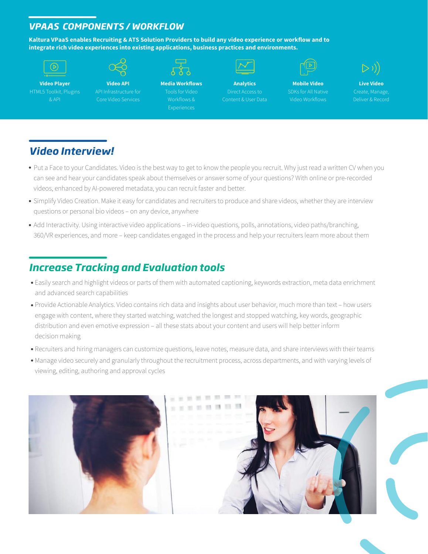#### *VPAAS COMPONENTS / WORKFLOW*

**Kaltura VPaaS enables Recruiting & ATS Solution Providers to build any video experience or workflow and to integrate rich video experiences into existing applications, business practices and environments.**

|--|--|



**Video API** API Infrastructure for Core Video Services

**Media Workflows** Workflows &



**Analytics** Direct Access to Content & User Data



**Mobile Video** SDKs for All Native Video Workflows



**Live Video** Deliver & Record

### *Video Interview!*

- Put a Face to your Candidates. Video is the best way to get to know the people you recruit. Why just read a written CV when you can see and hear your candidates speak about themselves or answer some of your questions? With online or pre-recorded videos, enhanced by AI-powered metadata, you can recruit faster and better.
- Simplify Video Creation. Make it easy for candidates and recruiters to produce and share videos, whether they are interview questions or personal bio videos – on any device, anywhere
- Add Interactivity. Using interactive video applications in-video questions, polls, annotations, video paths/branching, 360/VR experiences, and more – keep candidates engaged in the process and help your recruiters learn more about them

## *Increase Tracking and Evaluation tools*

- Easily search and highlight videos or parts of them with automated captioning, keywords extraction, meta data enrichment and advanced search capabilities
- Provide Actionable Analytics. Video contains rich data and insights about user behavior, much more than text how users engage with content, where they started watching, watched the longest and stopped watching, key words, geographic distribution and even emotive expression – all these stats about your content and users will help better inform decision making
- Recruiters and hiring managers can customize questions, leave notes, measure data, and share interviews with their teams
- Manage video securely and granularly throughout the recruitment process, across departments, and with varying levels of viewing, editing, authoring and approval cycles